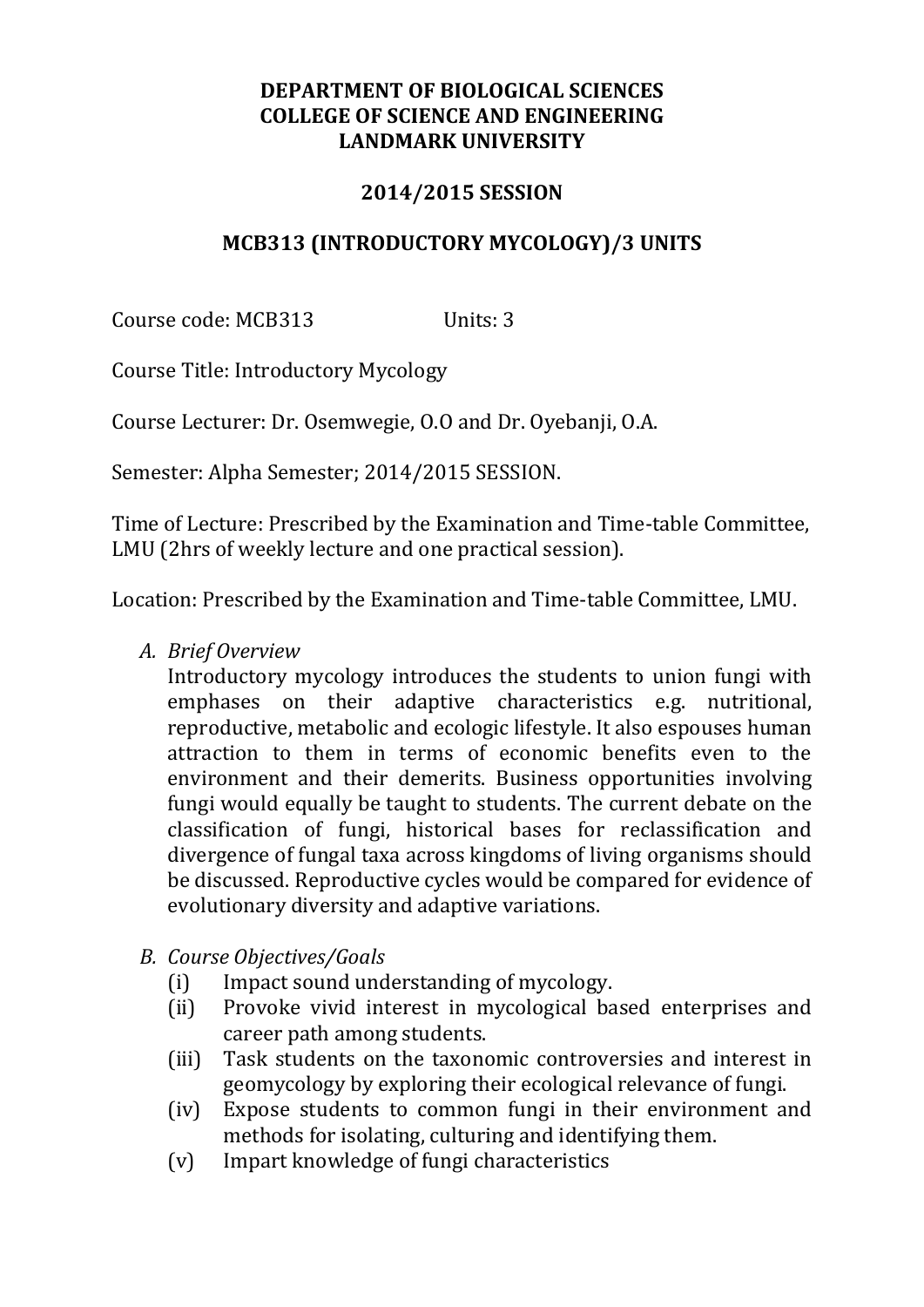#### **DEPARTMENT OF BIOLOGICAL SCIENCES COLLEGE OF SCIENCE AND ENGINEERING LANDMARK UNIVERSITY**

#### **2014/2015 SESSION**

#### **MCB313 (INTRODUCTORY MYCOLOGY)/3 UNITS**

Course code: MCB313 Units: 3

Course Title: Introductory Mycology

Course Lecturer: Dr. Osemwegie, O.O and Dr. Oyebanji, O.A.

Semester: Alpha Semester; 2014/2015 SESSION.

Time of Lecture: Prescribed by the Examination and Time-table Committee, LMU (2hrs of weekly lecture and one practical session).

Location: Prescribed by the Examination and Time-table Committee, LMU.

*A. Brief Overview*

Introductory mycology introduces the students to union fungi with emphases on their adaptive characteristics e.g. nutritional, reproductive, metabolic and ecologic lifestyle. It also espouses human attraction to them in terms of economic benefits even to the environment and their demerits. Business opportunities involving fungi would equally be taught to students. The current debate on the classification of fungi, historical bases for reclassification and divergence of fungal taxa across kingdoms of living organisms should be discussed. Reproductive cycles would be compared for evidence of evolutionary diversity and adaptive variations.

- *B. Course Objectives/Goals*
	- (i) Impact sound understanding of mycology.
	- (ii) Provoke vivid interest in mycological based enterprises and career path among students.
	- (iii) Task students on the taxonomic controversies and interest in geomycology by exploring their ecological relevance of fungi.
	- (iv) Expose students to common fungi in their environment and methods for isolating, culturing and identifying them.
	- (v) Impart knowledge of fungi characteristics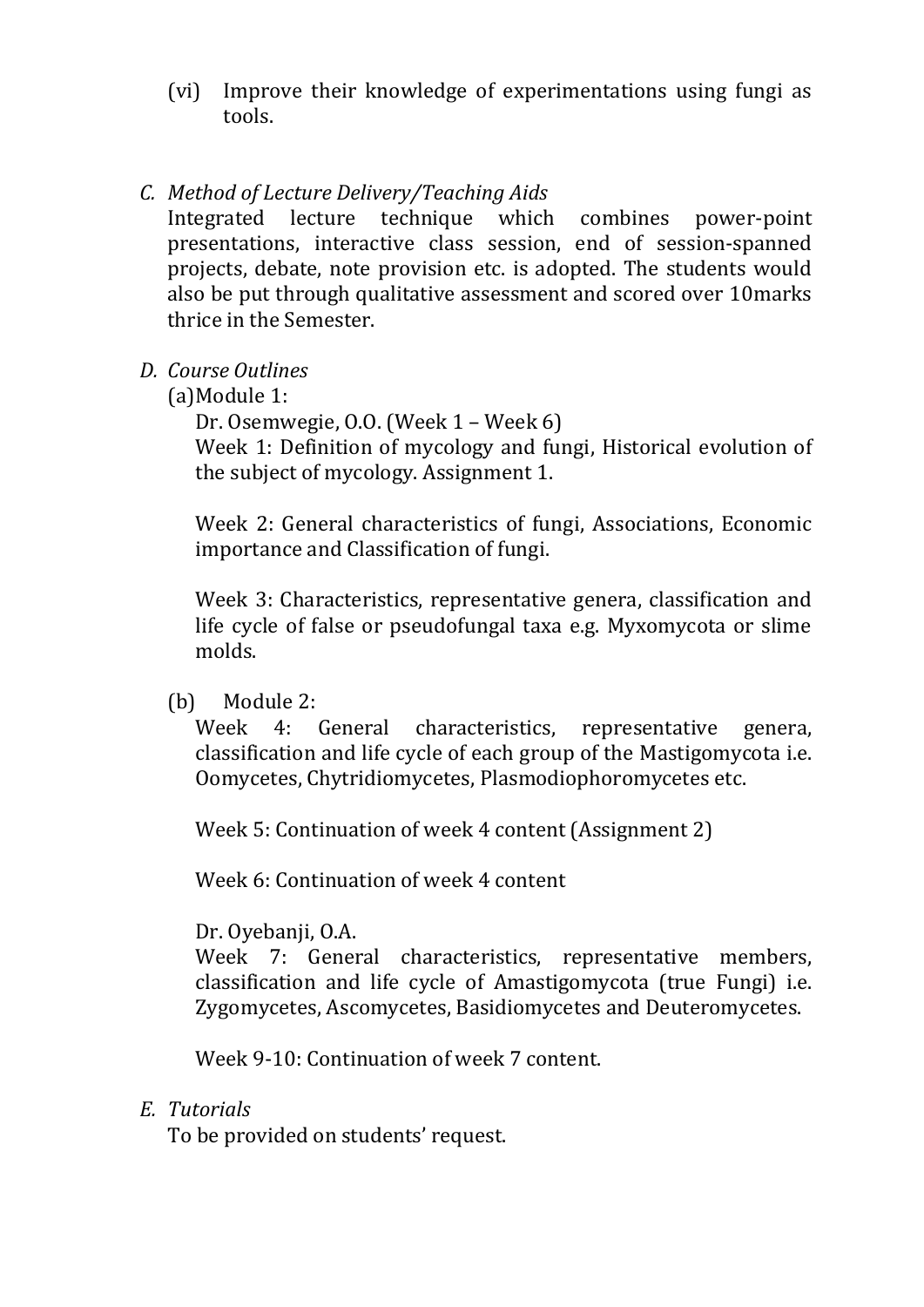(vi) Improve their knowledge of experimentations using fungi as tools.

## *C. Method of Lecture Delivery/Teaching Aids*

Integrated lecture technique which combines power-point presentations, interactive class session, end of session-spanned projects, debate, note provision etc. is adopted. The students would also be put through qualitative assessment and scored over 10marks thrice in the Semester.

- *D. Course Outlines*
	- (a)Module 1:

Dr. Osemwegie, O.O. (Week 1 – Week 6)

Week 1: Definition of mycology and fungi, Historical evolution of the subject of mycology. Assignment 1.

Week 2: General characteristics of fungi, Associations, Economic importance and Classification of fungi.

Week 3: Characteristics, representative genera, classification and life cycle of false or pseudofungal taxa e.g. Myxomycota or slime molds.

(b) Module 2:

Week 4: General characteristics, representative genera, classification and life cycle of each group of the Mastigomycota i.e. Oomycetes, Chytridiomycetes, Plasmodiophoromycetes etc.

Week 5: Continuation of week 4 content (Assignment 2)

Week 6: Continuation of week 4 content

Dr. Oyebanji, O.A.

Week 7: General characteristics, representative members, classification and life cycle of Amastigomycota (true Fungi) i.e. Zygomycetes, Ascomycetes, Basidiomycetes and Deuteromycetes.

Week 9-10: Continuation of week 7 content.

## *E. Tutorials*

To be provided on students' request.